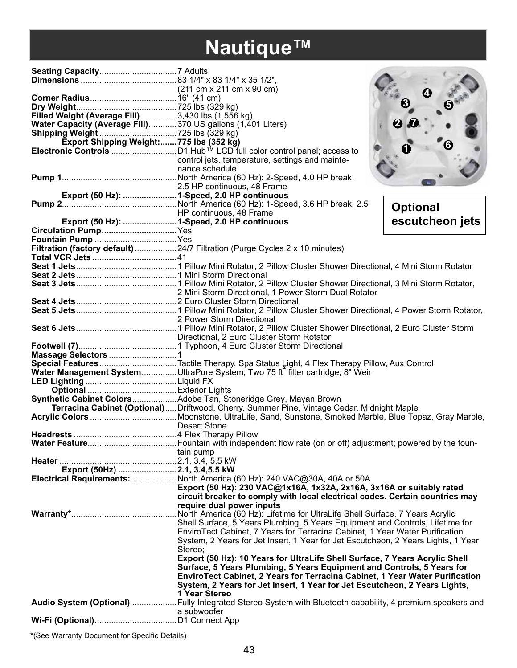# **Nautique™**

| Filled Weight (Average Fill) 3,430 lbs (1,556 kg)          |                                                                                                         | 2               |
|------------------------------------------------------------|---------------------------------------------------------------------------------------------------------|-----------------|
| Water Capacity (Average Fill)370 US gallons (1,401 Liters) |                                                                                                         |                 |
|                                                            |                                                                                                         |                 |
| Export Shipping Weight:775 lbs (352 kg)                    |                                                                                                         | ❻               |
|                                                            |                                                                                                         |                 |
|                                                            | control jets, temperature, settings and mainte-<br>nance schedule                                       |                 |
|                                                            |                                                                                                         |                 |
|                                                            | 2.5 HP continuous, 48 Frame                                                                             |                 |
|                                                            |                                                                                                         |                 |
|                                                            |                                                                                                         |                 |
|                                                            | HP continuous, 48 Frame                                                                                 | <b>Optional</b> |
| Export (50 Hz):  1-Speed, 2.0 HP continuous                |                                                                                                         | escutcheon jets |
|                                                            |                                                                                                         |                 |
|                                                            |                                                                                                         |                 |
|                                                            | Filtration (factory default) 24/7 Filtration (Purge Cycles 2 x 10 minutes)                              |                 |
|                                                            |                                                                                                         |                 |
|                                                            |                                                                                                         |                 |
|                                                            |                                                                                                         |                 |
|                                                            |                                                                                                         |                 |
|                                                            |                                                                                                         |                 |
|                                                            |                                                                                                         |                 |
|                                                            |                                                                                                         |                 |
|                                                            | 2 Power Storm Directional                                                                               |                 |
|                                                            |                                                                                                         |                 |
|                                                            | Directional, 2 Euro Cluster Storm Rotator                                                               |                 |
|                                                            |                                                                                                         |                 |
|                                                            |                                                                                                         |                 |
|                                                            | Special Features Tactile Therapy, Spa Status Light, 4 Flex Therapy Pillow, Aux Control                  |                 |
|                                                            | Water Management SystemUltraPure System; Two 75 ft filter cartridge; 8" Weir                            |                 |
|                                                            |                                                                                                         |                 |
|                                                            |                                                                                                         |                 |
|                                                            | Synthetic Cabinet ColorsAdobe Tan, Stoneridge Grey, Mayan Brown                                         |                 |
|                                                            | Terracina Cabinet (Optional)Driftwood, Cherry, Summer Pine, Vintage Cedar, Midnight Maple               |                 |
|                                                            |                                                                                                         |                 |
|                                                            | <b>Desert Stone</b>                                                                                     |                 |
|                                                            |                                                                                                         |                 |
|                                                            |                                                                                                         |                 |
|                                                            | tain pump                                                                                               |                 |
| Export (50Hz) 2.1, 3.4,5.5 kW                              |                                                                                                         |                 |
|                                                            | Electrical Requirements: North America (60 Hz): 240 VAC@30A, 40A or 50A                                 |                 |
|                                                            | Export (50 Hz): 230 VAC@1x16A, 1x32A, 2x16A, 3x16A or suitably rated                                    |                 |
|                                                            | circuit breaker to comply with local electrical codes. Certain countries may                            |                 |
|                                                            | require dual power inputs                                                                               |                 |
|                                                            |                                                                                                         |                 |
|                                                            | Shell Surface, 5 Years Plumbing, 5 Years Equipment and Controls, Lifetime for                           |                 |
|                                                            | EnviroTect Cabinet, 7 Years for Terracina Cabinet, 1 Year Water Purification                            |                 |
|                                                            | System, 2 Years for Jet Insert, 1 Year for Jet Escutcheon, 2 Years Lights, 1 Year                       |                 |
|                                                            | Stereo;                                                                                                 |                 |
|                                                            | Export (50 Hz): 10 Years for UltraLife Shell Surface, 7 Years Acrylic Shell                             |                 |
|                                                            | Surface, 5 Years Plumbing, 5 Years Equipment and Controls, 5 Years for                                  |                 |
|                                                            | EnviroTect Cabinet, 2 Years for Terracina Cabinet, 1 Year Water Purification                            |                 |
|                                                            | System, 2 Years for Jet Insert, 1 Year for Jet Escutcheon, 2 Years Lights,                              |                 |
|                                                            | 1 Year Stereo                                                                                           |                 |
|                                                            | Audio System (Optional)Fully Integrated Stereo System with Bluetooth capability, 4 premium speakers and |                 |
|                                                            | a subwoofer                                                                                             |                 |
|                                                            |                                                                                                         |                 |
|                                                            |                                                                                                         |                 |

\*(See Warranty Document for Specific Details)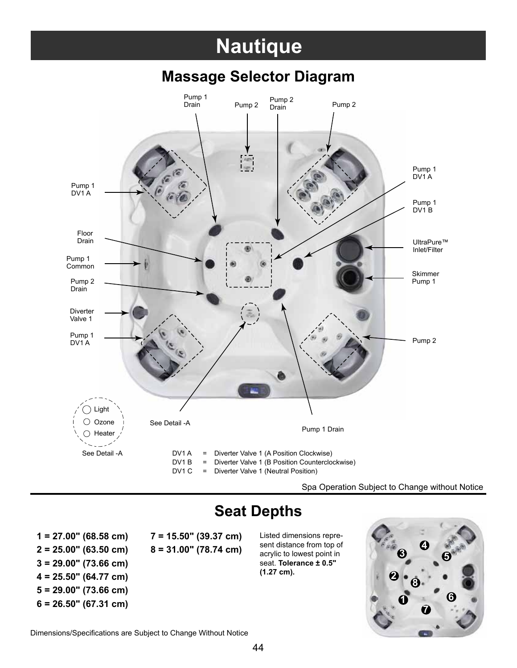### **Nautique**



#### **Massage Selector Diagram**

Spa Operation Subject to Change without Notice

### **Seat Depths**

**2 = 25.00" (63.50 cm) 8 = 31.00" (78.74 cm) 3 = 29.00" (73.66 cm) 4 = 25.50" (64.77 cm) 5 = 29.00" (73.66 cm) 6 = 26.50" (67.31 cm) 1**

**1 = 27.00" (68.58 cm) 7 = 15.50" (39.37 cm)** Listed dimensions repre-

- -

sent distance from top of acrylic to lowest point in seat. **Tolerance ± 0.5" (1.27 cm).**



Dimensions/Specifications are Subject to Change Without Notice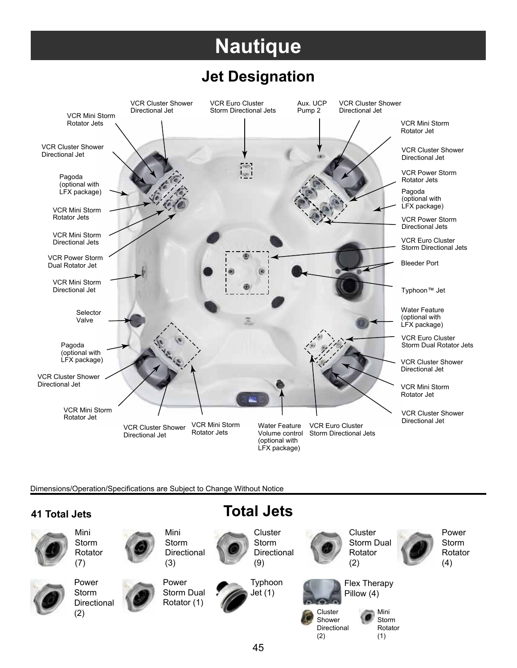## **Nautique**

#### **Jet Designation**



Dimensions/Operation/Specifications are Subject to Change Without Notice